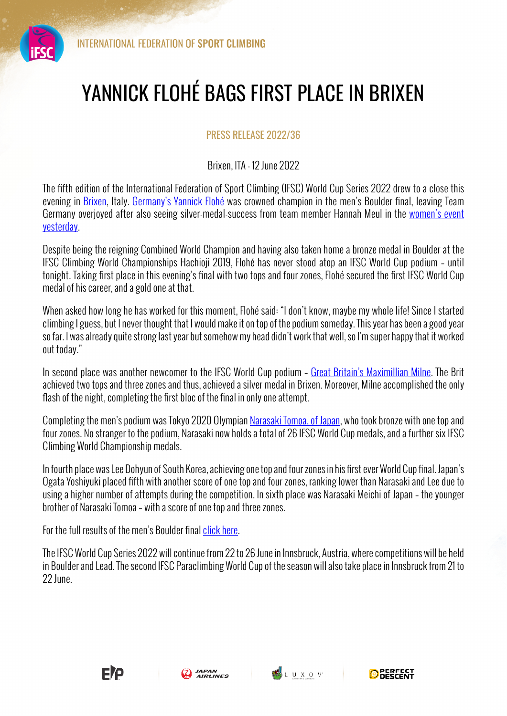

## YANNICK FLOHÉ BAGS FIRST PLACE IN BRIXEN

## PRESS RELEASE 2022/36

## Brixen, ITA - 12 June 2022

The fifth edition of the International Federation of Sport Climbing (IFSC) World Cup Series 2022 drew to a close this evening in Brixen, Italy. Germany's Yannick Flohé was crowned champion in the men's Boulder final, leaving Team Germany overjoyed after also seeing silver-medal-success from team member Hannah Meul in the women's event yesterday.

Despite being the reigning Combined World Champion and having also taken home a bronze medal in Boulder at the IFSC Climbing World Championships Hachioji 2019, Flohé has never stood atop an IFSC World Cup podium – until tonight. Taking first place in this evening's final with two tops and four zones, Flohé secured the first IFSC World Cup medal of his career, and a gold one at that.

When asked how long he has worked for this moment, Flohé said: "I don't know, maybe my whole life! Since I started climbing I guess, but I never thought that I would make it on top of the podium someday. This year has been a good year so far. I was already quite strong last year but somehow my head didn't work that well, so I'm super happy that it worked out today."

In second place was another newcomer to the IFSC World Cup podium - Great Britain's Maximillian Milne. The Brit achieved two tops and three zones and thus, achieved a silver medal in Brixen. Moreover, Milne accomplished the only flash of the night, completing the first bloc of the final in only one attempt.

Completing the men's podium was Tokyo 2020 Olympian Narasaki Tomoa, of Japan, who took bronze with one top and four zones. No stranger to the podium, Narasaki now holds a total of 26 IFSC World Cup medals, and a further six IFSC Climbing World Championship medals.

In fourth place was Lee Dohyun of South Korea, achieving one top and four zones in his first ever World Cup final. Japan's Ogata Yoshiyuki placed fifth with another score of one top and four zones, ranking lower than Narasaki and Lee due to using a higher number of attempts during the competition. In sixth place was Narasaki Meichi of Japan – the younger brother of Narasaki Tomoa – with a score of one top and three zones.

For the full results of the men's Boulder final click here.

The IFSC World Cup Series 2022 will continue from 22 to 26 June in Innsbruck, Austria, where competitions will be held in Boulder and Lead. The second IFSC Paraclimbing World Cup of the season will also take place in Innsbruck from 21 to 22 June.